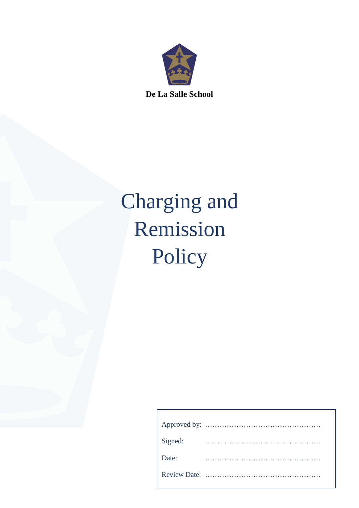

Charging and Remission Policy

| Signed: |  |  |  |  |  |  |  |  |  |  |  |  |  |  |  |  |  |
|---------|--|--|--|--|--|--|--|--|--|--|--|--|--|--|--|--|--|
| Date:   |  |  |  |  |  |  |  |  |  |  |  |  |  |  |  |  |  |
|         |  |  |  |  |  |  |  |  |  |  |  |  |  |  |  |  |  |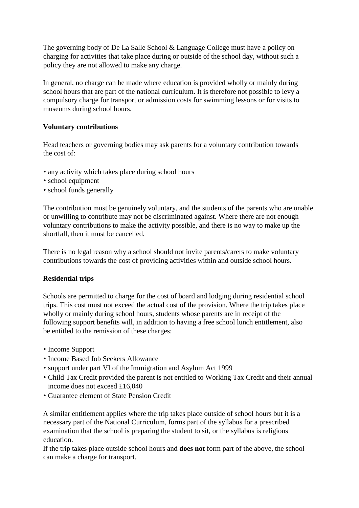The governing body of De La Salle School & Language College must have a policy on charging for activities that take place during or outside of the school day, without such a policy they are not allowed to make any charge.

In general, no charge can be made where education is provided wholly or mainly during school hours that are part of the national curriculum. It is therefore not possible to levy a compulsory charge for transport or admission costs for swimming lessons or for visits to museums during school hours.

## **Voluntary contributions**

Head teachers or governing bodies may ask parents for a voluntary contribution towards the cost of:

- any activity which takes place during school hours
- school equipment
- school funds generally

The contribution must be genuinely voluntary, and the students of the parents who are unable or unwilling to contribute may not be discriminated against. Where there are not enough voluntary contributions to make the activity possible, and there is no way to make up the shortfall, then it must be cancelled.

There is no legal reason why a school should not invite parents/carers to make voluntary contributions towards the cost of providing activities within and outside school hours.

# **Residential trips**

Schools are permitted to charge for the cost of board and lodging during residential school trips. This cost must not exceed the actual cost of the provision. Where the trip takes place wholly or mainly during school hours, students whose parents are in receipt of the following support benefits will, in addition to having a free school lunch entitlement, also be entitled to the remission of these charges:

- Income Support
- Income Based Job Seekers Allowance
- support under part VI of the Immigration and Asylum Act 1999
- Child Tax Credit provided the parent is not entitled to Working Tax Credit and their annual income does not exceed £16,040
- Guarantee element of State Pension Credit

A similar entitlement applies where the trip takes place outside of school hours but it is a necessary part of the National Curriculum, forms part of the syllabus for a prescribed examination that the school is preparing the student to sit, or the syllabus is religious education.

If the trip takes place outside school hours and **does not** form part of the above, the school can make a charge for transport.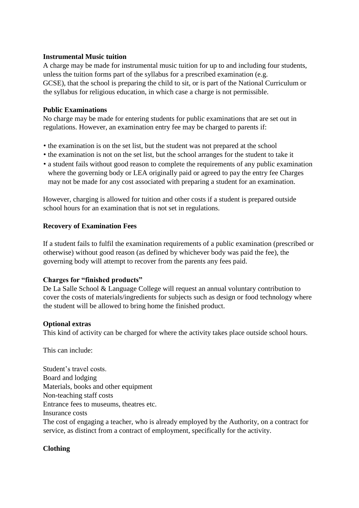#### **Instrumental Music tuition**

A charge may be made for instrumental music tuition for up to and including four students, unless the tuition forms part of the syllabus for a prescribed examination (e.g. GCSE), that the school is preparing the child to sit, or is part of the National Curriculum or the syllabus for religious education, in which case a charge is not permissible.

### **Public Examinations**

No charge may be made for entering students for public examinations that are set out in regulations. However, an examination entry fee may be charged to parents if:

- the examination is on the set list, but the student was not prepared at the school
- the examination is not on the set list, but the school arranges for the student to take it
- a student fails without good reason to complete the requirements of any public examination where the governing body or LEA originally paid or agreed to pay the entry fee Charges may not be made for any cost associated with preparing a student for an examination.

However, charging is allowed for tuition and other costs if a student is prepared outside school hours for an examination that is not set in regulations.

#### **Recovery of Examination Fees**

If a student fails to fulfil the examination requirements of a public examination (prescribed or otherwise) without good reason (as defined by whichever body was paid the fee), the governing body will attempt to recover from the parents any fees paid.

## **Charges for "finished products"**

De La Salle School & Language College will request an annual voluntary contribution to cover the costs of materials/ingredients for subjects such as design or food technology where the student will be allowed to bring home the finished product.

## **Optional extras**

This kind of activity can be charged for where the activity takes place outside school hours.

This can include:

Student's travel costs. Board and lodging Materials, books and other equipment Non-teaching staff costs Entrance fees to museums, theatres etc. Insurance costs The cost of engaging a teacher, who is already employed by the Authority, on a contract for service, as distinct from a contract of employment, specifically for the activity.

## **Clothing**